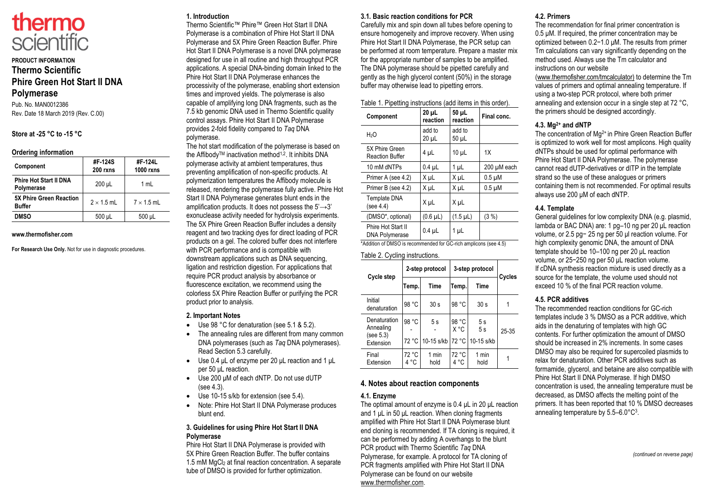

## **PRODUCT INFORMATION Thermo Scientific Phire Green Hot Start II DNA Polymerase**

Pub. No. MAN0012386 Rev. Date 18 March 2019 (Rev. C.00)

#### **Store at -25 °C to -15 °C**

#### **Ordering information**

| Component                                       | #F-124S<br>200 rxns | #F-124L<br><b>1000 rxns</b> |
|-------------------------------------------------|---------------------|-----------------------------|
| <b>Phire Hot Start II DNA</b><br>Polymerase     | $200 \mu L$         | 1 ml                        |
| <b>5X Phire Green Reaction</b><br><b>Buffer</b> | $2 \times 1.5$ mL   | $7 \times 1.5$ mL           |
| <b>DMSO</b>                                     | 500 µL              | 500 µL                      |

#### **www.thermofisher.com**

**For Research Use Only.** Not for use in diagnostic procedures.

## **1. Introduction**

Thermo Scientific™ Phire™ Green Hot Start II DNA Polymerase is a combination of Phire Hot Start II DNA Polymerase and 5X Phire Green Reaction Buffer. Phire Hot Start II DNA Polymerase is a novel DNA polymerase designed for use in all routine and high throughput PCR applications. A special DNA-binding domain linked to the Phire Hot Start II DNA Polymerase enhances the processivity of the polymerase, enabling short extension times and improved yields. The polymerase is also capable of amplifying long DNA fragments, such as the 7.5 kb genomic DNA used in Thermo Scientific quality control assays. Phire Hot Start II DNA Polymerase provides 2-fold fidelity compared to *Taq* DNA polymerase.

The hot start modification of the polymerase is based on the Affibody™ inactivation method<sup>1,2</sup>. It inhibits DNA polymerase activity at ambient temperatures, thus preventing amplification of non-specific products. At polymerization temperatures the Affibody molecule is released, rendering the polymerase fully active. Phire Hot Start II DNA Polymerase generates blunt ends in the amplification products. It does not possess the  $5' \rightarrow 3'$ exonuclease activity needed for hydrolysis experiments. The 5X Phire Green Reaction Buffer includes a density reagent and two tracking dyes for direct loading of PCR products on a gel. The colored buffer does not interfere with PCR performance and is compatible with downstream applications such as DNA sequencing, ligation and restriction digestion. For applications that require PCR product analysis by absorbance or fluorescence excitation, we recommend using the colorless 5X Phire Reaction Buffer or purifying the PCR product prior to analysis.

## **2. Important Notes**

- Use 98 °C for denaturation (see 5.1 & 5.2).
- The annealing rules are different from many common DNA polymerases (such as *Taq* DNA polymerases). Read Section 5.3 carefully.
- Use 0.4 μL of enzyme per 20 μL reaction and 1 μL per 50 μL reaction.
- Use 200 μM of each dNTP. Do not use dUTP (see 4.3).
- Use 10-15 s/kb for extension (see 5.4).
- Note: Phire Hot Start II DNA Polymerase produces blunt end.

## **3. Guidelines for using Phire Hot Start II DNA Polymerase**

Phire Hot Start II DNA Polymerase is provided with 5X Phire Green Reaction Buffer. The buffer contains 1.5 mM MgCl<sub>2</sub> at final reaction concentration. A separate tube of DMSO is provided for further optimization.

#### **3.1. Basic reaction conditions for PCR**

Carefully mix and spin down all tubes before opening to ensure homogeneity and improve recovery. When using Phire Hot Start II DNA Polymerase, the PCR setup can be performed at room temperature. Prepare a master mix for the appropriate number of samples to be amplified. The DNA polymerase should be pipetted carefully and gently as the high glycerol content (50%) in the storage buffer may otherwise lead to pipetting errors.

| Table 1. Pipetting instructions (add items in this order). |  |
|------------------------------------------------------------|--|
|------------------------------------------------------------|--|

|                                                                                         | Component                                   | $20 \mu L$<br>reaction | 50 µL<br>reaction | Final conc. |
|-----------------------------------------------------------------------------------------|---------------------------------------------|------------------------|-------------------|-------------|
|                                                                                         | H <sub>2</sub> O                            | add to<br>$20 \mu L$   | add to<br>50 µL   |             |
|                                                                                         | 5X Phire Green<br><b>Reaction Buffer</b>    | 4 µL                   | $10 \mu L$        | 1X          |
|                                                                                         | 10 mM dNTPs                                 | $0.4$ µL               | 1 µL              | 200 µM each |
|                                                                                         | Primer A (see 4.2)                          | X <sub>u</sub> L       | X µL              | $0.5 \mu M$ |
|                                                                                         | Primer B (see 4.2)                          | X <sub>u</sub> L       | X µL              | $0.5 \mu M$ |
|                                                                                         | <b>Template DNA</b><br>(see 4.4)            | X µL                   | X µL              |             |
|                                                                                         | (DMSO*, optional)                           | $(0.6 \mu L)$          | $(1.5 \mu L)$     | (3 %)       |
|                                                                                         | Phire Hot Start II<br><b>DNA Polymerase</b> | $0.4$ µL               | 1 <sub>µ</sub>    |             |
| .<br>$\sim$ $\sim$ $\sim$ $\sim$ $\sim$<br>$\cdots$<br>$\sim$ $\sim$ $\sim$<br>$\cdots$ |                                             |                        |                   |             |

\*Addition of DMSO is recommended for GC-rich amplicons (see 4.5)

#### Table 2. Cycling instructions.

| Cycle step |                                                     | 2-step protocol |                  | 3-step protocol        |                        | Cycles |
|------------|-----------------------------------------------------|-----------------|------------------|------------------------|------------------------|--------|
|            |                                                     | Temp.           | Time             | Temp.                  | Time                   |        |
|            | Initial<br>denaturation                             | 98 °C           | 30 <sub>s</sub>  | 98 °C                  | 30 <sub>s</sub>        |        |
|            | Denaturation<br>Annealing<br>(see 5.3)<br>Extension | 98 °C<br>72 °C  | 5s<br>10-15 s/kb | 98 °C<br>X °C<br>72 °C | 5s<br>5s<br>10-15 s/kb | 25-35  |
|            | Final<br>Extension                                  | 72 °C<br>4 °C   | 1 min<br>hold    | 72 °C<br>4 °C          | 1 min<br>hold          |        |

## **4. Notes about reaction components**

## **4.1. Enzyme**

The optimal amount of enzyme is 0.4 μL in 20 μL reaction and 1 μL in 50 μL reaction. When cloning fragments amplified with Phire Hot Start II DNA Polymerase blunt end cloning is recommended. If TA cloning is required, it can be performed by adding A overhangs to the blunt PCR product with Thermo Scientific *Taq* DNA Polymerase, for example. A protocol for TA cloning of PCR fragments amplified with Phire Hot Start II DNA Polymerase can be found on our website www.thermofisher.com.

## **4.2. Primers**

The recommendation for final primer concentration is 0.5 μM. If required, the primer concentration may be optimized between 0.2−1.0 μM. The results from primer Tm calculations can vary significantly depending on the method used. Always use the Tm calculator and instructions on our website

(www.thermofisher.com/tmcalculator) to determine the Tm values of primers and optimal annealing temperature. If using a two-step PCR protocol, where both primer annealing and extension occur in a single step at 72 °C, the primers should be designed accordingly.

## **4.3. Mg2+ and dNTP**

The concentration of Mg<sup>2+</sup> in Phire Green Reaction Buffer is optimized to work well for most amplicons. High quality dNTPs should be used for optimal performance with Phire Hot Start II DNA Polymerase. The polymerase cannot read dUTP-derivatives or dITP in the template strand so the use of these analogues or primers containing them is not recommended. For optimal results always use 200 μM of each dNTP.

#### **4.4. Template**

General guidelines for low complexity DNA (e.g. plasmid, lambda or BAC DNA) are: 1 pg–10 ng per 20 μL reaction volume, or 2.5 pg− 25 ng per 50 μl reaction volume. For high complexity genomic DNA, the amount of DNA template should be 10–100 ng per 20 μL reaction volume, or 25−250 ng per 50 μL reaction volume. If cDNA synthesis reaction mixture is used directly as a source for the template, the volume used should not exceed 10 % of the final PCR reaction volume.

## **4.5. PCR additives**

The recommended reaction conditions for GC-rich templates include 3 % DMSO as a PCR additive, which aids in the denaturing of templates with high GC contents. For further optimization the amount of DMSO should be increased in 2% increments. In some cases DMSO may also be required for supercoiled plasmids to relax for denaturation. Other PCR additives such as formamide, glycerol, and betaine are also compatible with Phire Hot Start II DNA Polymerase. If high DMSO concentration is used, the annealing temperature must be decreased, as DMSO affects the melting point of the primers. It has been reported that 10 % DMSO decreases annealing temperature by 5.5–6.0°C<sup>3</sup>.